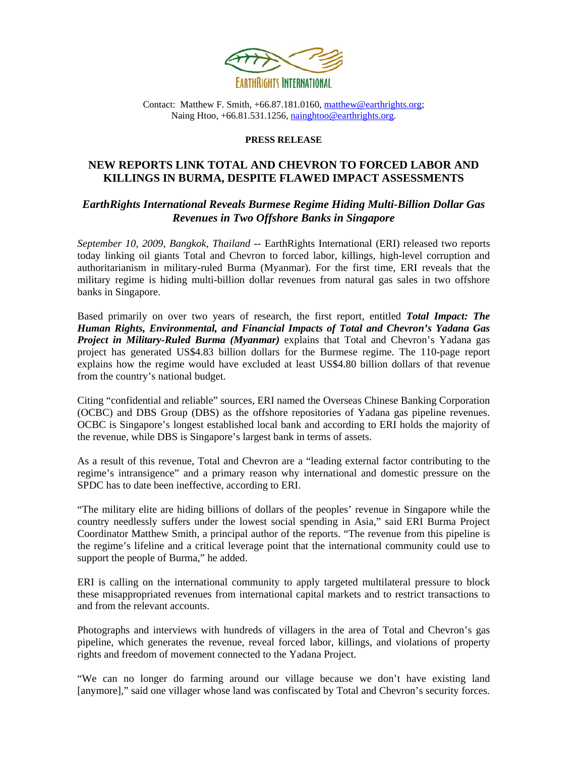

Contact: Matthew F. Smith, +66.87.181.0160, [matthew@earthrights.org;](mailto:matthew@earthrights.org) Naing Htoo, +66.81.531.1256, [nainghtoo@earthrights.org](mailto:nainghtoo@earthrights.org).

## **PRESS RELEASE**

## **NEW REPORTS LINK TOTAL AND CHEVRON TO FORCED LABOR AND KILLINGS IN BURMA, DESPITE FLAWED IMPACT ASSESSMENTS**

## *EarthRights International Reveals Burmese Regime Hiding Multi-Billion Dollar Gas Revenues in Two Offshore Banks in Singapore*

*September 10, 2009, Bangkok, Thailand* -- EarthRights International (ERI) released two reports today linking oil giants Total and Chevron to forced labor, killings, high-level corruption and authoritarianism in military-ruled Burma (Myanmar). For the first time, ERI reveals that the military regime is hiding multi-billion dollar revenues from natural gas sales in two offshore banks in Singapore.

Based primarily on over two years of research, the first report, entitled *Total Impact: The Human Rights, Environmental, and Financial Impacts of Total and Chevron's Yadana Gas Project in Military-Ruled Burma (Myanmar)* explains that Total and Chevron's Yadana gas project has generated US\$4.83 billion dollars for the Burmese regime. The 110-page report explains how the regime would have excluded at least US\$4.80 billion dollars of that revenue from the country's national budget.

Citing "confidential and reliable" sources, ERI named the Overseas Chinese Banking Corporation (OCBC) and DBS Group (DBS) as the offshore repositories of Yadana gas pipeline revenues. OCBC is Singapore's longest established local bank and according to ERI holds the majority of the revenue, while DBS is Singapore's largest bank in terms of assets.

As a result of this revenue, Total and Chevron are a "leading external factor contributing to the regime's intransigence" and a primary reason why international and domestic pressure on the SPDC has to date been ineffective, according to ERI.

"The military elite are hiding billions of dollars of the peoples' revenue in Singapore while the country needlessly suffers under the lowest social spending in Asia," said ERI Burma Project Coordinator Matthew Smith, a principal author of the reports. "The revenue from this pipeline is the regime's lifeline and a critical leverage point that the international community could use to support the people of Burma," he added.

ERI is calling on the international community to apply targeted multilateral pressure to block these misappropriated revenues from international capital markets and to restrict transactions to and from the relevant accounts.

Photographs and interviews with hundreds of villagers in the area of Total and Chevron's gas pipeline, which generates the revenue, reveal forced labor, killings, and violations of property rights and freedom of movement connected to the Yadana Project.

"We can no longer do farming around our village because we don't have existing land [anymore]," said one villager whose land was confiscated by Total and Chevron's security forces.